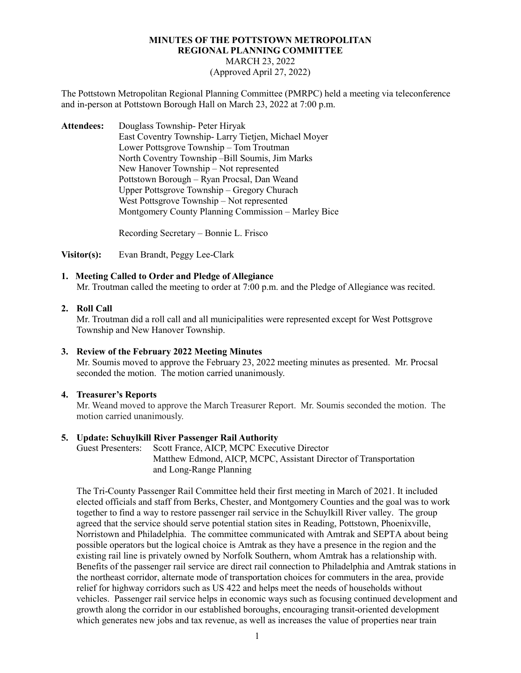# **MINUTES OF THE POTTSTOWN METROPOLITAN REGIONAL PLANNING COMMITTEE** MARCH 23, 2022 (Approved April 27, 2022)

The Pottstown Metropolitan Regional Planning Committee (PMRPC) held a meeting via teleconference and in-person at Pottstown Borough Hall on March 23, 2022 at 7:00 p.m.

**Attendees:** Douglass Township- Peter Hiryak East Coventry Township- Larry Tietjen, Michael Moyer Lower Pottsgrove Township – Tom Troutman North Coventry Township –Bill Soumis, Jim Marks New Hanover Township – Not represented Pottstown Borough – Ryan Procsal, Dan Weand Upper Pottsgrove Township – Gregory Churach West Pottsgrove Township – Not represented Montgomery County Planning Commission – Marley Bice

Recording Secretary – Bonnie L. Frisco

**Visitor(s):** Evan Brandt, Peggy Lee-Clark

# **1. Meeting Called to Order and Pledge of Allegiance**

Mr. Troutman called the meeting to order at 7:00 p.m. and the Pledge of Allegiance was recited.

#### **2. Roll Call**

Mr. Troutman did a roll call and all municipalities were represented except for West Pottsgrove Township and New Hanover Township.

#### **3. Review of the February 2022 Meeting Minutes**

Mr. Soumis moved to approve the February 23, 2022 meeting minutes as presented. Mr. Procsal seconded the motion. The motion carried unanimously.

#### **4. Treasurer's Reports**

Mr. Weand moved to approve the March Treasurer Report. Mr. Soumis seconded the motion. The motion carried unanimously.

# **5. Update: Schuylkill River Passenger Rail Authority**

Scott France, AICP, MCPC Executive Director Matthew Edmond, AICP, MCPC, Assistant Director of Transportation and Long-Range Planning

The Tri-County Passenger Rail Committee held their first meeting in March of 2021. It included elected officials and staff from Berks, Chester, and Montgomery Counties and the goal was to work together to find a way to restore passenger rail service in the Schuylkill River valley. The group agreed that the service should serve potential station sites in Reading, Pottstown, Phoenixville, Norristown and Philadelphia. The committee communicated with Amtrak and SEPTA about being possible operators but the logical choice is Amtrak as they have a presence in the region and the existing rail line is privately owned by Norfolk Southern, whom Amtrak has a relationship with. Benefits of the passenger rail service are direct rail connection to Philadelphia and Amtrak stations in the northeast corridor, alternate mode of transportation choices for commuters in the area, provide relief for highway corridors such as US 422 and helps meet the needs of households without vehicles. Passenger rail service helps in economic ways such as focusing continued development and growth along the corridor in our established boroughs, encouraging transit-oriented development which generates new jobs and tax revenue, as well as increases the value of properties near train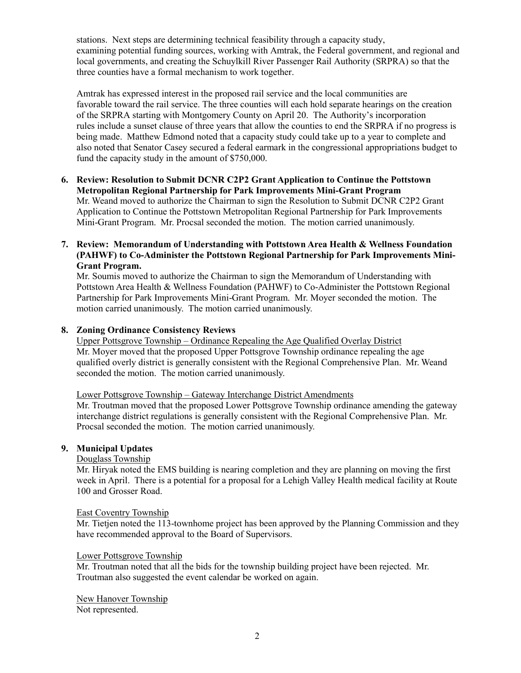stations. Next steps are determining technical feasibility through a capacity study, examining potential funding sources, working with Amtrak, the Federal government, and regional and local governments, and creating the Schuylkill River Passenger Rail Authority (SRPRA) so that the three counties have a formal mechanism to work together.

Amtrak has expressed interest in the proposed rail service and the local communities are favorable toward the rail service. The three counties will each hold separate hearings on the creation of the SRPRA starting with Montgomery County on April 20. The Authority's incorporation rules include a sunset clause of three years that allow the counties to end the SRPRA if no progress is being made. Matthew Edmond noted that a capacity study could take up to a year to complete and also noted that Senator Casey secured a federal earmark in the congressional appropriations budget to fund the capacity study in the amount of \$750,000.

- **6. Review: Resolution to Submit DCNR C2P2 Grant Application to Continue the Pottstown Metropolitan Regional Partnership for Park Improvements Mini-Grant Program** Mr. Weand moved to authorize the Chairman to sign the Resolution to Submit DCNR C2P2 Grant Application to Continue the Pottstown Metropolitan Regional Partnership for Park Improvements Mini-Grant Program. Mr. Procsal seconded the motion. The motion carried unanimously.
- **7. Review: Memorandum of Understanding with Pottstown Area Health & Wellness Foundation (PAHWF) to Co-Administer the Pottstown Regional Partnership for Park Improvements Mini-Grant Program.**

 Mr. Soumis moved to authorize the Chairman to sign the Memorandum of Understanding with Pottstown Area Health & Wellness Foundation (PAHWF) to Co-Administer the Pottstown Regional Partnership for Park Improvements Mini-Grant Program. Mr. Moyer seconded the motion. The motion carried unanimously. The motion carried unanimously.

# **8. Zoning Ordinance Consistency Reviews**

 Upper Pottsgrove Township – Ordinance Repealing the Age Qualified Overlay District Mr. Moyer moved that the proposed Upper Pottsgrove Township ordinance repealing the age qualified overly district is generally consistent with the Regional Comprehensive Plan. Mr. Weand seconded the motion. The motion carried unanimously.

# Lower Pottsgrove Township – Gateway Interchange District Amendments

 Mr. Troutman moved that the proposed Lower Pottsgrove Township ordinance amending the gateway interchange district regulations is generally consistent with the Regional Comprehensive Plan. Mr. Procsal seconded the motion. The motion carried unanimously.

# **9. Municipal Updates**

# Douglass Township

Mr. Hiryak noted the EMS building is nearing completion and they are planning on moving the first week in April. There is a potential for a proposal for a Lehigh Valley Health medical facility at Route 100 and Grosser Road.

# East Coventry Township

Mr. Tietjen noted the 113-townhome project has been approved by the Planning Commission and they have recommended approval to the Board of Supervisors.

# Lower Pottsgrove Township

Mr. Troutman noted that all the bids for the township building project have been rejected. Mr. Troutman also suggested the event calendar be worked on again.

New Hanover Township Not represented.